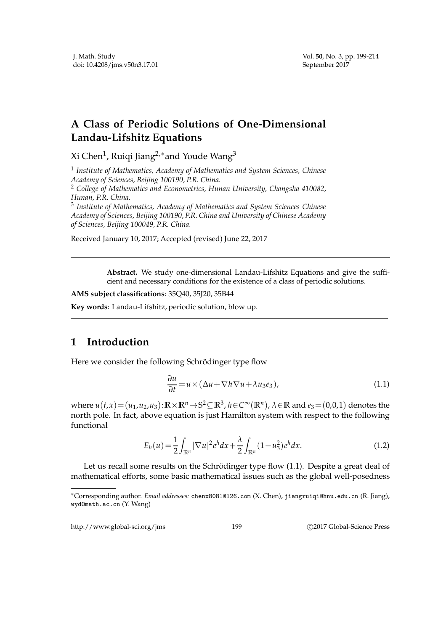## **A Class of Periodic Solutions of One-Dimensional Landau-Lifshitz Equations**

Xi Chen $^1$ , Ruiqi Jiang $^{2,\ast}$ and Youde Wang $^3$ 

1 *Institute of Mathematics, Academy of Mathematics and System Sciences, Chinese Academy of Sciences, Beijing 100190, P.R. China.*

<sup>2</sup> *College of Mathematics and Econometrics, Hunan University, Changsha 410082, Hunan, P.R. China.*

3 *Institute of Mathematics, Academy of Mathematics and System Sciences Chinese Academy of Sciences, Beijing 100190, P.R. China and University of Chinese Academy of Sciences, Beijing 100049, P.R. China.*

Received January 10, 2017; Accepted (revised) June 22, 2017

**Abstract.** We study one-dimensional Landau-Lifshitz Equations and give the sufficient and necessary conditions for the existence of a class of periodic solutions.

**AMS subject classifications**: 35Q40, 35J20, 35B44

**Key words**: Landau-Lifshitz, periodic solution, blow up.

## **1 Introduction**

Here we consider the following Schrödinger type flow

$$
\frac{\partial u}{\partial t} = u \times (\Delta u + \nabla h \nabla u + \lambda u_3 e_3), \tag{1.1}
$$

where  $u(t,x) = (u_1, u_2, u_3)$ :  $\mathbb{R} \times \mathbb{R}^n \to \mathbb{S}^2 \subseteq \mathbb{R}^3$ ,  $h \in \mathbb{C}^\infty(\mathbb{R}^n)$ ,  $\lambda \in \mathbb{R}$  and  $e_3 = (0,0,1)$  denotes the north pole. In fact, above equation is just Hamilton system with respect to the following functional

$$
E_h(u) = \frac{1}{2} \int_{\mathbb{R}^n} |\nabla u|^2 e^h dx + \frac{\lambda}{2} \int_{\mathbb{R}^n} (1 - u_3^2) e^h dx.
$$
 (1.2)

Let us recall some results on the Schrödinger type flow  $(1.1)$ . Despite a great deal of mathematical efforts, some basic mathematical issues such as the global well-posedness

http://www.global-sci.org/jms 199 
(2017 Global-Science Press

<sup>∗</sup>Corresponding author. *Email addresses:* chenx8081@126.com (X. Chen), jiangruiqi@hnu.edu.cn (R. Jiang), wyd@math.ac.cn (Y. Wang)